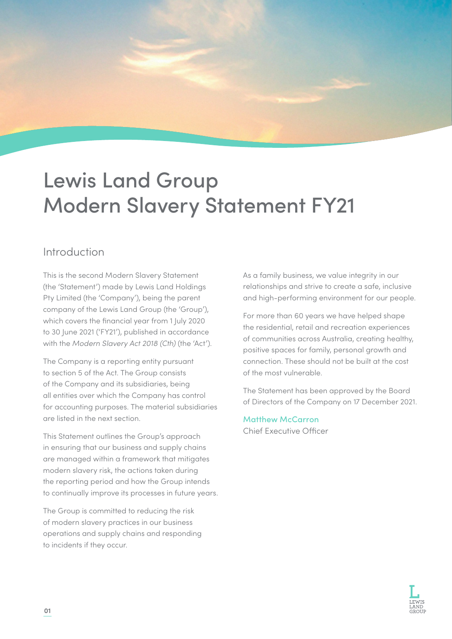# Lewis Land Group Modern Slavery Statement FY21

### Introduction

This is the second Modern Slavery Statement (the 'Statement') made by Lewis Land Holdings Pty Limited (the 'Company'), being the parent company of the Lewis Land Group (the 'Group'), which covers the financial year from 1 July 2020 to 30 June 2021 ('FY21'), published in accordance with the *Modern Slavery Act 2018 (Cth)* (the 'Act').

The Company is a reporting entity pursuant to section 5 of the Act. The Group consists of the Company and its subsidiaries, being all entities over which the Company has control for accounting purposes. The material subsidiaries are listed in the next section.

This Statement outlines the Group's approach in ensuring that our business and supply chains are managed within a framework that mitigates modern slavery risk, the actions taken during the reporting period and how the Group intends to continually improve its processes in future years.

The Group is committed to reducing the risk of modern slavery practices in our business operations and supply chains and responding to incidents if they occur.

As a family business, we value integrity in our relationships and strive to create a safe, inclusive and high-performing environment for our people.

For more than 60 years we have helped shape the residential, retail and recreation experiences of communities across Australia, creating healthy, positive spaces for family, personal growth and connection. These should not be built at the cost of the most vulnerable.

The Statement has been approved by the Board of Directors of the Company on 17 December 2021.

Matthew McCarron Chief Executive Officer

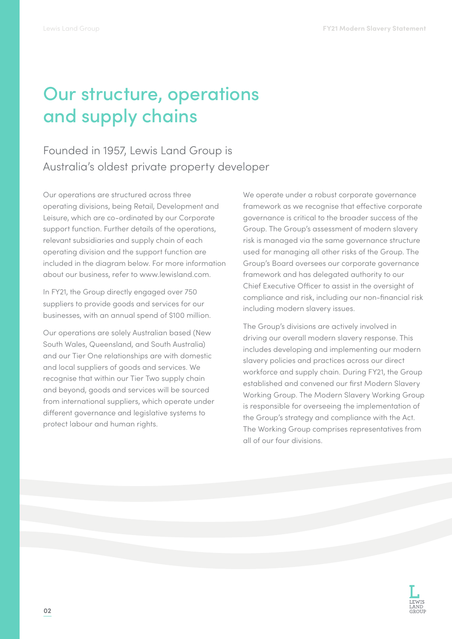## Our structure, operations and supply chains

Founded in 1957, Lewis Land Group is Australia's oldest private property developer

Our operations are structured across three operating divisions, being Retail, Development and Leisure, which are co-ordinated by our Corporate support function. Further details of the operations, relevant subsidiaries and supply chain of each operating division and the support function are included in the diagram below. For more information about our business, refer to www.lewisland.com.

In FY21, the Group directly engaged over 750 suppliers to provide goods and services for our businesses, with an annual spend of \$100 million.

Our operations are solely Australian based (New South Wales, Queensland, and South Australia) and our Tier One relationships are with domestic and local suppliers of goods and services. We recognise that within our Tier Two supply chain and beyond, goods and services will be sourced from international suppliers, which operate under different governance and legislative systems to protect labour and human rights.

We operate under a robust corporate governance framework as we recognise that effective corporate governance is critical to the broader success of the Group. The Group's assessment of modern slavery risk is managed via the same governance structure used for managing all other risks of the Group. The Group's Board oversees our corporate governance framework and has delegated authority to our Chief Executive Officer to assist in the oversight of compliance and risk, including our non-financial risk including modern slavery issues.

The Group's divisions are actively involved in driving our overall modern slavery response. This includes developing and implementing our modern slavery policies and practices across our direct workforce and supply chain. During FY21, the Group established and convened our first Modern Slavery Working Group. The Modern Slavery Working Group is responsible for overseeing the implementation of the Group's strategy and compliance with the Act. The Working Group comprises representatives from all of our four divisions.

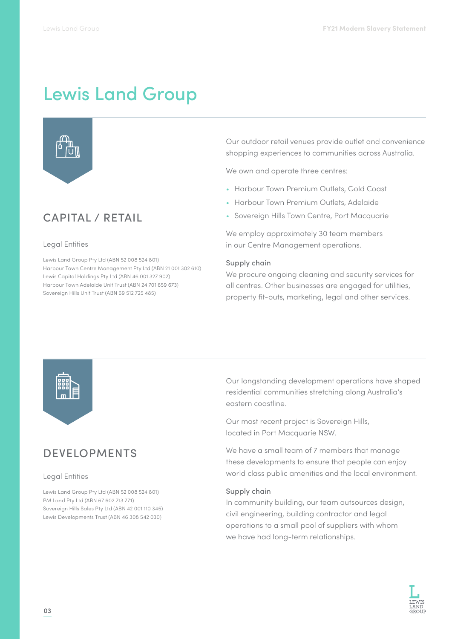## Lewis Land Group



### CAPITAL / RETAIL

#### Legal Entities

Lewis Land Group Pty Ltd (ABN 52 008 524 801) Harbour Town Centre Management Pty Ltd (ABN 21 001 302 610) Lewis Capital Holdings Pty Ltd (ABN 46 001 327 902) Harbour Town Adelaide Unit Trust (ABN 24 701 659 673) Sovereign Hills Unit Trust (ABN 69 512 725 485)

Our outdoor retail venues provide outlet and convenience shopping experiences to communities across Australia.

We own and operate three centres:

- Harbour Town Premium Outlets, Gold Coast
- Harbour Town Premium Outlets, Adelaide
- Sovereign Hills Town Centre, Port Macquarie

We employ approximately 30 team members in our Centre Management operations.

#### Supply chain

We procure ongoing cleaning and security services for all centres. Other businesses are engaged for utilities, property fit-outs, marketing, legal and other services.



### DEVELOPMENTS

#### Legal Entities

Lewis Land Group Pty Ltd (ABN 52 008 524 801) PM Land Pty Ltd (ABN 67 602 713 771) Sovereign Hills Sales Pty Ltd (ABN 42 001 110 345) Lewis Developments Trust (ABN 46 308 542 030)

Our longstanding development operations have shaped residential communities stretching along Australia's eastern coastline.

Our most recent project is Sovereign Hills, located in Port Macquarie NSW.

We have a small team of 7 members that manage these developments to ensure that people can enjoy world class public amenities and the local environment.

#### Supply chain

In community building, our team outsources design, civil engineering, building contractor and legal operations to a small pool of suppliers with whom we have had long-term relationships.

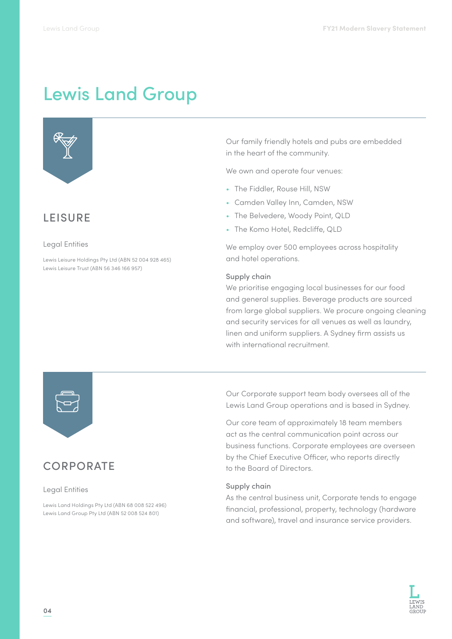# Lewis Land Group



### **LEISURE**

#### Legal Entities

Lewis Leisure Holdings Pty Ltd (ABN 52 004 928 465) Lewis Leisure Trust (ABN 56 346 166 957)

Our family friendly hotels and pubs are embedded in the heart of the community.

We own and operate four venues:

- The Fiddler, Rouse Hill, NSW
- Camden Valley Inn, Camden, NSW
- The Belvedere, Woody Point, QLD
- The Komo Hotel, Redcliffe, QLD

We employ over 500 employees across hospitality and hotel operations.

#### Supply chain

We prioritise engaging local businesses for our food and general supplies. Beverage products are sourced from large global suppliers. We procure ongoing cleaning and security services for all venues as well as laundry, linen and uniform suppliers. A Sydney firm assists us with international recruitment.



### **CORPORATE**

#### Legal Entities

Lewis Land Holdings Pty Ltd (ABN 68 008 522 496) Lewis Land Group Pty Ltd (ABN 52 008 524 801)

Our Corporate support team body oversees all of the Lewis Land Group operations and is based in Sydney.

Our core team of approximately 18 team members act as the central communication point across our business functions. Corporate employees are overseen by the Chief Executive Officer, who reports directly to the Board of Directors.

#### Supply chain

As the central business unit, Corporate tends to engage financial, professional, property, technology (hardware and software), travel and insurance service providers.

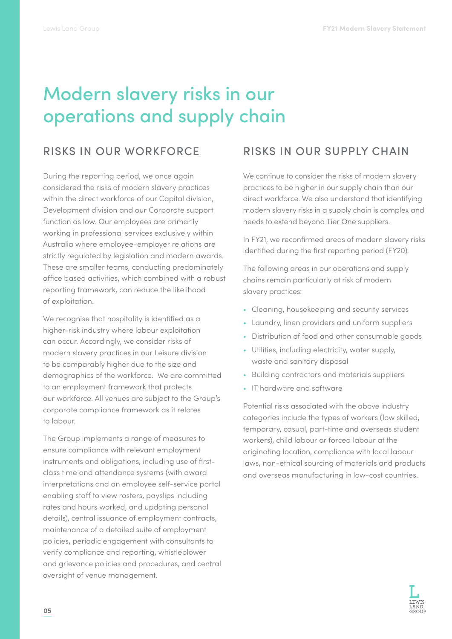# Modern slavery risks in our operations and supply chain

### RISKS IN OUR WORKFORCE

During the reporting period, we once again considered the risks of modern slavery practices within the direct workforce of our Capital division, Development division and our Corporate support function as low. Our employees are primarily working in professional services exclusively within Australia where employee-employer relations are strictly regulated by legislation and modern awards. These are smaller teams, conducting predominately office based activities, which combined with a robust reporting framework, can reduce the likelihood of exploitation.

We recognise that hospitality is identified as a higher-risk industry where labour exploitation can occur. Accordingly, we consider risks of modern slavery practices in our Leisure division to be comparably higher due to the size and demographics of the workforce. We are committed to an employment framework that protects our workforce. All venues are subject to the Group's corporate compliance framework as it relates to labour.

The Group implements a range of measures to ensure compliance with relevant employment instruments and obligations, including use of firstclass time and attendance systems (with award interpretations and an employee self-service portal enabling staff to view rosters, payslips including rates and hours worked, and updating personal details), central issuance of employment contracts, maintenance of a detailed suite of employment policies, periodic engagement with consultants to verify compliance and reporting, whistleblower and grievance policies and procedures, and central oversight of venue management.

### RISKS IN OUR SUPPLY CHAIN

We continue to consider the risks of modern slavery practices to be higher in our supply chain than our direct workforce. We also understand that identifying modern slavery risks in a supply chain is complex and needs to extend beyond Tier One suppliers.

In FY21, we reconfirmed areas of modern slavery risks identified during the first reporting period (FY20).

The following areas in our operations and supply chains remain particularly at risk of modern slavery practices:

- Cleaning, housekeeping and security services
- Laundry, linen providers and uniform suppliers
- Distribution of food and other consumable goods
- Utilities, including electricity, water supply, waste and sanitary disposal
- Building contractors and materials suppliers
- IT hardware and software

Potential risks associated with the above industry categories include the types of workers (low skilled, temporary, casual, part-time and overseas student workers), child labour or forced labour at the originating location, compliance with local labour laws, non-ethical sourcing of materials and products and overseas manufacturing in low-cost countries.

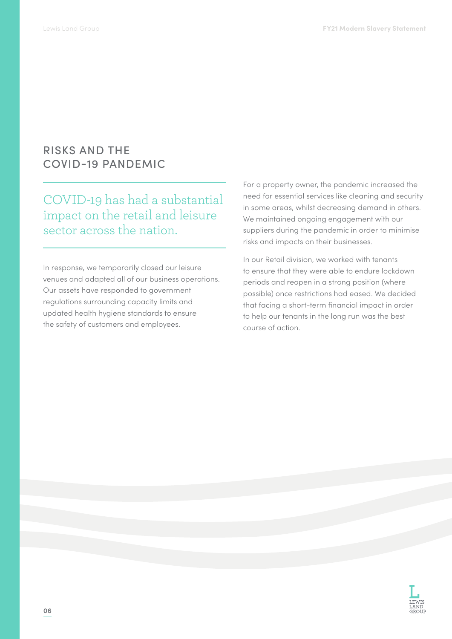### RISKS AND THE COVID-19 PANDEMIC

COVID-19 has had a substantial impact on the retail and leisure sector across the nation.

In response, we temporarily closed our leisure venues and adapted all of our business operations. Our assets have responded to government regulations surrounding capacity limits and updated health hygiene standards to ensure the safety of customers and employees.

For a property owner, the pandemic increased the need for essential services like cleaning and security in some areas, whilst decreasing demand in others. We maintained ongoing engagement with our suppliers during the pandemic in order to minimise risks and impacts on their businesses.

In our Retail division, we worked with tenants to ensure that they were able to endure lockdown periods and reopen in a strong position (where possible) once restrictions had eased. We decided that facing a short-term financial impact in order to help our tenants in the long run was the best course of action.

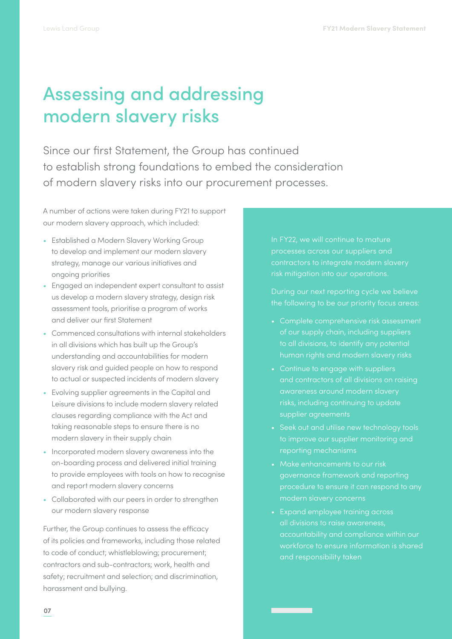# Assessing and addressing modern slavery risks

Since our first Statement, the Group has continued to establish strong foundations to embed the consideration of modern slavery risks into our procurement processes.

A number of actions were taken during FY21 to support our modern slavery approach, which included:

- Established a Modern Slavery Working Group to develop and implement our modern slavery strategy, manage our various initiatives and ongoing priorities
- Engaged an independent expert consultant to assist us develop a modern slavery strategy, design risk assessment tools, prioritise a program of works and deliver our first Statement
- Commenced consultations with internal stakeholders in all divisions which has built up the Group's understanding and accountabilities for modern slavery risk and guided people on how to respond to actual or suspected incidents of modern slavery
- Evolving supplier agreements in the Capital and Leisure divisions to include modern slavery related clauses regarding compliance with the Act and taking reasonable steps to ensure there is no modern slavery in their supply chain
- Incorporated modern slavery awareness into the on-boarding process and delivered initial training to provide employees with tools on how to recognise and report modern slavery concerns
- Collaborated with our peers in order to strengthen our modern slavery response

Further, the Group continues to assess the efficacy of its policies and frameworks, including those related to code of conduct; whistleblowing; procurement; contractors and sub-contractors; work, health and safety; recruitment and selection; and discrimination, harassment and bullying.

processes across our suppliers and

- of our supply chain, including suppliers
- Continue to engage with suppliers and contractors of all divisions on raising supplier agreements
- Seek out and utilise new technology tools to improve our supplier monitoring and
- Make enhancements to our risk
- all divisions to raise awareness, accountability and compliance within our workforce to ensure information is shared